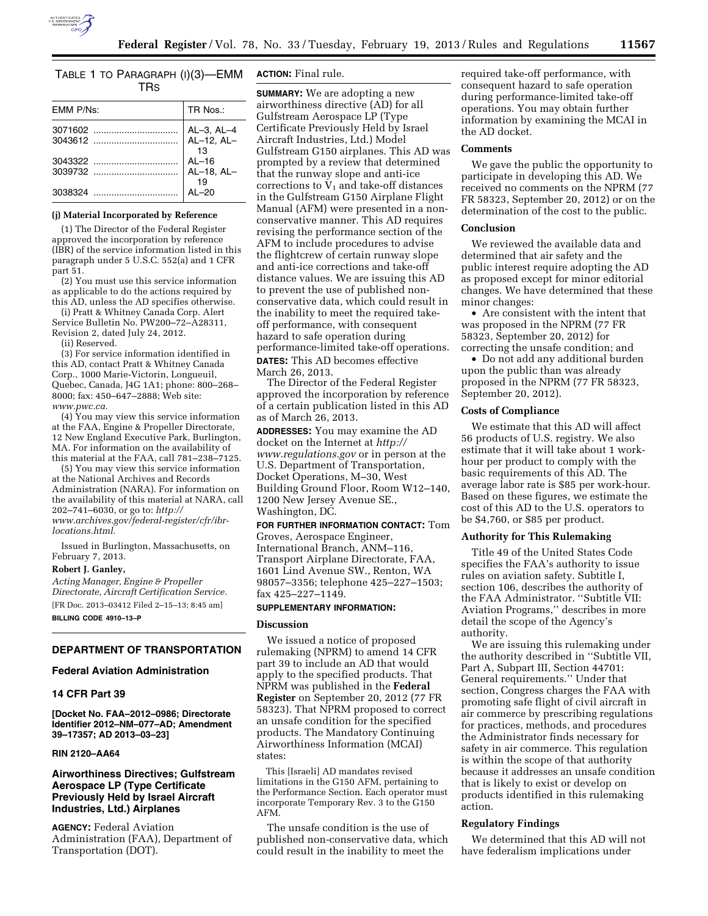# TABLE 1 TO PARAGRAPH (I)(3)—EMM TRS

| EMM P/Ns: | TR Nos.:                   |
|-----------|----------------------------|
|           | AL-3, AL-4<br>$AL-12, AL-$ |
|           | -13                        |
|           | $AL-16$                    |
| 3039732   | AL-18, AL-<br>19           |
|           | $AI - 20$                  |

### **(j) Material Incorporated by Reference**

(1) The Director of the Federal Register approved the incorporation by reference (IBR) of the service information listed in this paragraph under 5 U.S.C. 552(a) and 1 CFR part 51.

(2) You must use this service information as applicable to do the actions required by this AD, unless the AD specifies otherwise.

(i) Pratt & Whitney Canada Corp. Alert Service Bulletin No. PW200–72–A28311, Revision 2, dated July 24, 2012.

(ii) Reserved.

(3) For service information identified in this AD, contact Pratt & Whitney Canada Corp., 1000 Marie-Victorin, Longueuil, Quebec, Canada, J4G 1A1; phone: 800–268– 8000; fax: 450–647–2888; Web site: *[www.pwc.ca.](http://www.pwc.ca)* 

(4) You may view this service information at the FAA, Engine & Propeller Directorate, 12 New England Executive Park, Burlington, MA. For information on the availability of this material at the FAA, call 781–238–7125.

(5) You may view this service information at the National Archives and Records Administration (NARA). For information on the availability of this material at NARA, call 202–741–6030, or go to: *[http://](http://www.archives.gov/federal-register/cfr/ibr-locations.html) [www.archives.gov/federal-register/cfr/ibr](http://www.archives.gov/federal-register/cfr/ibr-locations.html)[locations.html.](http://www.archives.gov/federal-register/cfr/ibr-locations.html)* 

Issued in Burlington, Massachusetts, on February 7, 2013.

### **Robert J. Ganley,**

*Acting Manager, Engine & Propeller Directorate, Aircraft Certification Service.*  [FR Doc. 2013–03412 Filed 2–15–13; 8:45 am] **BILLING CODE 4910–13–P** 

# **DEPARTMENT OF TRANSPORTATION**

### **Federal Aviation Administration**

# **14 CFR Part 39**

**[Docket No. FAA–2012–0986; Directorate Identifier 2012–NM–077–AD; Amendment 39–17357; AD 2013–03–23]** 

## **RIN 2120–AA64**

# **Airworthiness Directives; Gulfstream Aerospace LP (Type Certificate Previously Held by Israel Aircraft Industries, Ltd.) Airplanes**

**AGENCY:** Federal Aviation Administration (FAA), Department of Transportation (DOT).

# **ACTION:** Final rule.

**SUMMARY:** We are adopting a new airworthiness directive (AD) for all Gulfstream Aerospace LP (Type Certificate Previously Held by Israel Aircraft Industries, Ltd.) Model Gulfstream G150 airplanes. This AD was prompted by a review that determined that the runway slope and anti-ice corrections to  $V_1$  and take-off distances in the Gulfstream G150 Airplane Flight Manual (AFM) were presented in a nonconservative manner. This AD requires revising the performance section of the AFM to include procedures to advise the flightcrew of certain runway slope and anti-ice corrections and take-off distance values. We are issuing this AD to prevent the use of published nonconservative data, which could result in the inability to meet the required takeoff performance, with consequent hazard to safe operation during performance-limited take-off operations. **DATES:** This AD becomes effective March 26, 2013.

The Director of the Federal Register approved the incorporation by reference of a certain publication listed in this AD as of March 26, 2013.

**ADDRESSES:** You may examine the AD docket on the Internet at *[http://](http://www.regulations.gov)  [www.regulations.gov](http://www.regulations.gov)* or in person at the U.S. Department of Transportation, Docket Operations, M–30, West Building Ground Floor, Room W12–140, 1200 New Jersey Avenue SE., Washington, DC.

**FOR FURTHER INFORMATION CONTACT:** Tom Groves, Aerospace Engineer, International Branch, ANM–116, Transport Airplane Directorate, FAA, 1601 Lind Avenue SW., Renton, WA 98057–3356; telephone 425–227–1503; fax 425–227–1149.

### **SUPPLEMENTARY INFORMATION:**

### **Discussion**

We issued a notice of proposed rulemaking (NPRM) to amend 14 CFR part 39 to include an AD that would apply to the specified products. That NPRM was published in the **Federal Register** on September 20, 2012 (77 FR 58323). That NPRM proposed to correct an unsafe condition for the specified products. The Mandatory Continuing Airworthiness Information (MCAI) states:

This [Israeli] AD mandates revised limitations in the G150 AFM, pertaining to the Performance Section. Each operator must incorporate Temporary Rev. 3 to the G150 AFM.

The unsafe condition is the use of published non-conservative data, which could result in the inability to meet the

required take-off performance, with consequent hazard to safe operation during performance-limited take-off operations. You may obtain further information by examining the MCAI in the AD docket.

### **Comments**

We gave the public the opportunity to participate in developing this AD. We received no comments on the NPRM (77 FR 58323, September 20, 2012) or on the determination of the cost to the public.

### **Conclusion**

We reviewed the available data and determined that air safety and the public interest require adopting the AD as proposed except for minor editorial changes. We have determined that these minor changes:

• Are consistent with the intent that was proposed in the NPRM (77 FR 58323, September 20, 2012) for correcting the unsafe condition; and

• Do not add any additional burden upon the public than was already proposed in the NPRM (77 FR 58323, September 20, 2012).

## **Costs of Compliance**

We estimate that this AD will affect 56 products of U.S. registry. We also estimate that it will take about 1 workhour per product to comply with the basic requirements of this AD. The average labor rate is \$85 per work-hour. Based on these figures, we estimate the cost of this AD to the U.S. operators to be \$4,760, or \$85 per product.

### **Authority for This Rulemaking**

Title 49 of the United States Code specifies the FAA's authority to issue rules on aviation safety. Subtitle I, section 106, describes the authority of the FAA Administrator. ''Subtitle VII: Aviation Programs,'' describes in more detail the scope of the Agency's authority.

We are issuing this rulemaking under the authority described in ''Subtitle VII, Part A, Subpart III, Section 44701: General requirements.'' Under that section, Congress charges the FAA with promoting safe flight of civil aircraft in air commerce by prescribing regulations for practices, methods, and procedures the Administrator finds necessary for safety in air commerce. This regulation is within the scope of that authority because it addresses an unsafe condition that is likely to exist or develop on products identified in this rulemaking action.

# **Regulatory Findings**

We determined that this AD will not have federalism implications under